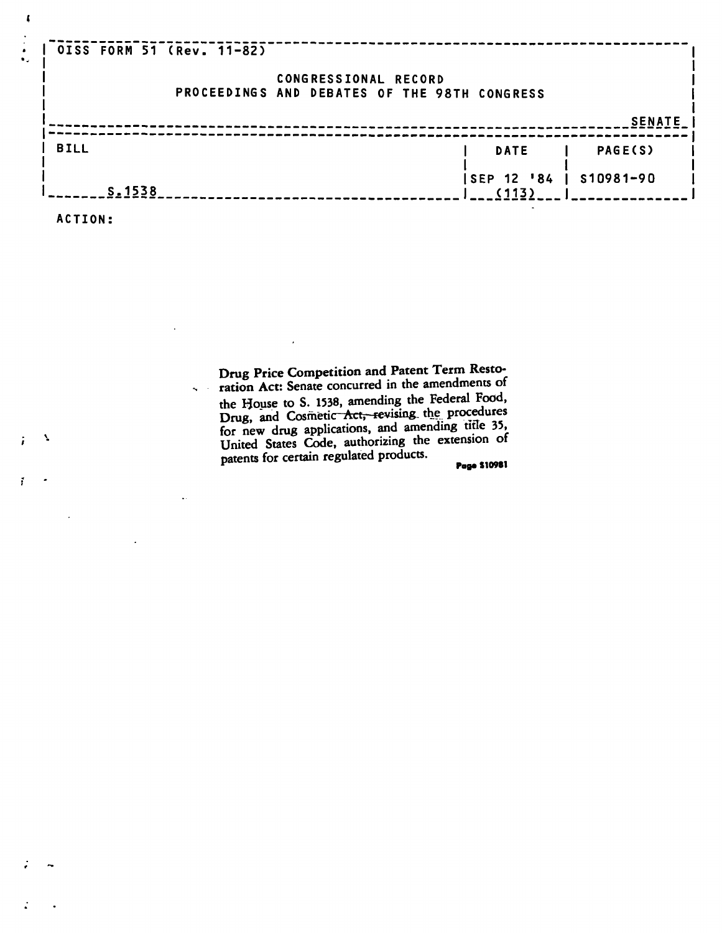| OISS FORM 51 (Rev. 11-82) |                                                                      |
|---------------------------|----------------------------------------------------------------------|
|                           | CONGRESSIONAL RECORD<br>PROCEEDINGS AND DEBATES OF THE 98TH CONGRESS |
|                           | <b>SENATE</b>                                                        |
| <b>BILL</b>               | PAGE(S)<br><b>DATE</b>                                               |
| S.1538                    | $$10981 - 90$<br><b>SEP 12 '84'</b><br>(113)                         |
| ACTION:                   |                                                                      |

Drug Price Competition and Patent Term Restoration Act: Senate concurred in the amendments of the House to S. 1538, amending the Federal Food, Drug, and Cosmetic Act, revising the procedures For new drug applications, and amending title 35, United States Code, authorizing the extension of patents for certain regulated products.<br>**Page \$10981** 

 $\hat{\boldsymbol{\cdot} }$ 

 $\tilde{\mathbf{v}}$  .  $\tilde{\mathbf{v}}$ 

 $\ddot{\phantom{a}}$ 

N ÷

 $\ddot{\phantom{a}}$ 

Ť

 $\sqrt{2}$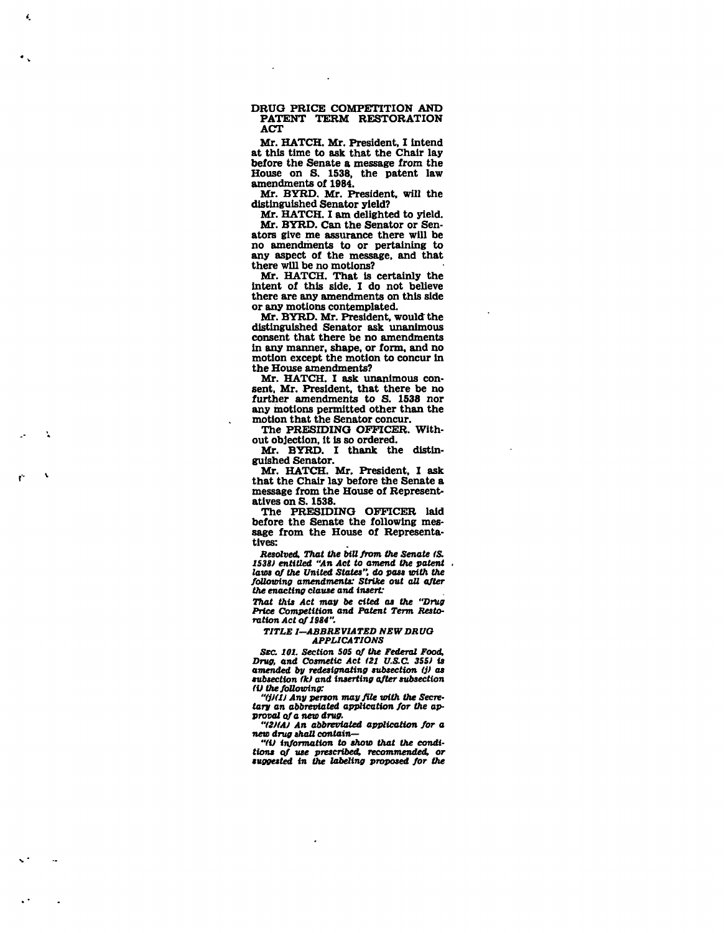## **DRUG PRICE COMPETITION AND PATENT TERM RESTORATION ACT**

 $\pmb{\delta}$ 

 $\lambda$ 

**Mr. HATCH. Mr. President, I intend at this time to ask that the Chair lay before the Senate a message from the House on S. 1538, the patent law amendments of 1984.** 

**Mr. BYRD. Mr. President, will the distinguished Senator yield?** 

**Mr. HATCH. I am delighted to yield. Mr. BYRD. Can the Senator or Senators give me assurance there will be no amendments to or pertaining to any aspect of the message, and that there will be no motions?** 

**Mr. HATCH. That is certainly the intent of this side. I do not believe there are any amendments on this side or any motions contemplated.** 

**Mr. BYRD. Mr. President, would the distinguished Senator ask unanimous consent that there be no amendments in any manner, shape, or form, and no motion except the motion to concur in the House amendments?** 

**Mr. HATCH. I ask unanimous consent, Mr. President, that there be no further amendments to S. 1538 nor any motions permitted other than the motion that the Senator concur.** 

**The PRESIDING OFFICER. Without objection, it is so ordered.** 

**Mr. BYRD. I thank the distinguished Senator.** 

**Mr. HATCH. Mr. President, I ask that the Chair lay before the Senate a message from the House of Representatives on S. 1538.** 

**The PRESIDING OFFICER laid before the Senate the following message from the House of Representatives:** 

*Resolved, That the bill from the Senate (S. 1S38J entitled "An Act to amend the patent laws of the United States", do pass with the following amendments: Strike out all after the enacting clause and insert-*

*That this Act may be cited as the "Drug Price Competition and Patent Term Restoration Act of 1984".* 

### *TITLE I—ABBREVIATED NEW DRUG APPLICATIONS*

*SEC 101. Section SOS of the Federal Food, Drug, and Cosmetic Act (21 U.S.C. 3SS) is amended by redesignating subsection (j) as subsection Ik) and inserting after subsection IV the following:* 

*"(})(1> Any person may file with the Secretary an abbreviated application for the approval of a new drug.* 

*"(2)(A) An abbreviated application for a new drug shall contain—* 

*"(it information to show that the condi-tions of use prescribed, recommended, or suggested in the labeling proposed for the*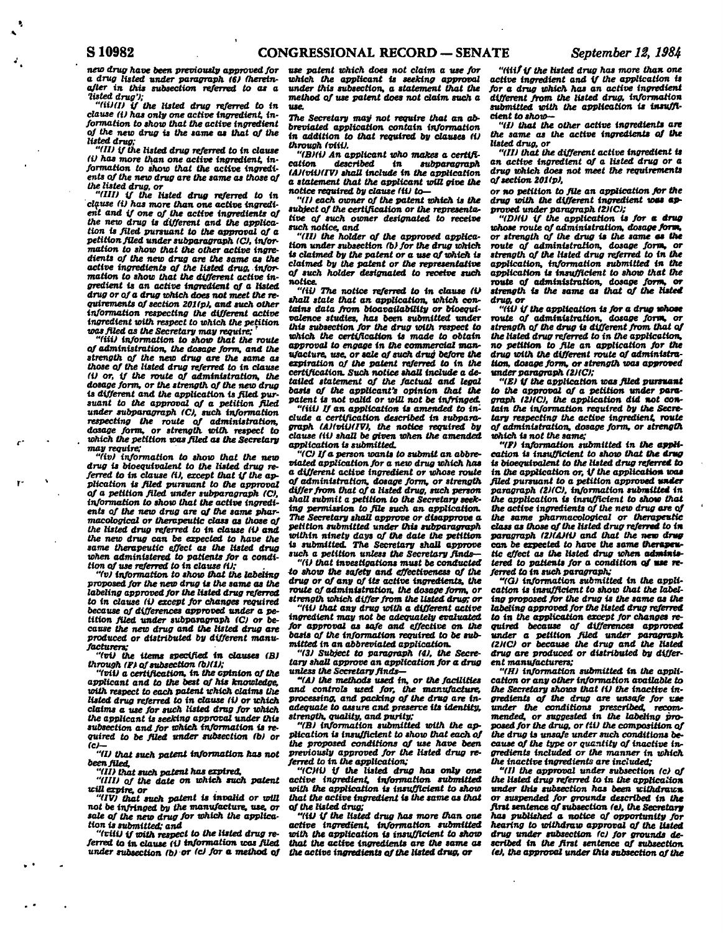*new drug have been previously approved for a drug listed under paragraph (61 (hereinafter in this subsection referred to as a listed drug');* 

*"(HKII if the listed drug referred to in clause at has only one active ingredient, information to show that the active ingredient of the new drug is the same as that of the listed drug;* 

*"(II) if the listed drug referred to in clause (if has more than one active ingredient, information to show that the active ingredients of the new drug are the same as those of the listed drug, or* 

*"(IW if the listed drug referred to in clause <i) has more than one active ingredient and if one of the active ingredients of the new drug is different and the application is filed pursuant to the approval of a petition filed under subparagraph (Cl. information* **to** *show that the other active ingredients of the new drug are Vie same as the active ingredients of the listed drug, information to show that the different active ingredient is an active ingredient of a listed drug or of a drug which does not meet the requirements of section ZQKpl, and such other information respecting the different active ingredient with respect to which the petition was filed as the Secretary may require: '* 

*"(Hit information to show that the route of administration, the dosage form, and the strength of the* **nets** *drug are the same as those of the listed drug referred to in clause (U or, if the route of administration, the dosage form, or the strength of the* **nero** *drug is different and the application is filed pursuant to the approval of a petition filed under subparagraph (Cl, such information respecting the route of administration, dosage form, or strength with respect to which the petition was filed as the Secretary may require;* 

*"(iv) information to show that the new drug is bioequivalent to the listed drug re*ferred to in clause (i), except that if the ap*plication is filed pursuant to the approval of a petition filed under subparagraph (Ct, information to show that the active ingredients of the new drug are of the same pharmacological or therapeutic class as those of the listed drug referred to in clause (it and the new drug can be expected to have the same therapeutic effect as the listed drug when administered to patients for a condition of use referred to in clause (i);* 

*"(vt information to show that the labeling proposed for the new drug is the same as the labeling approved for the listed drug referred to in clause (it except for changes required because of differences approved under a petition filed under subparagraph (CI or because the new drug and the listed drug are produced or distributed by different manufacturers;* 

*"(vit the items specified in clauses (Bt through (Ft of subsection (bid);* 

*"(viii a certification, in the opinion of the applicant and to the best of his knowledge, with respect to each patent which claims the listed drug referred to in clause (i) or which claims a use for such listed drug for which the applicant is seeking approval under this subsection and for which information is required to be filed under subsection (bl or (cl—* 

*"(II that such patent information has not been filed,* 

*"(lit that such patent has expired,* 

*"(lilt of the date on which such patent will expire, or* 

*"(IVt that such patent is invalid or will not be infringed by the manufacture, use, or sale of the new drug for which the applica-tion is submitted; and* 

*"(tiiii if with respect to the listed drug referred to in clause (if information was filed*  under subsection (b) or (c) for a method of

*use patent which does not claim a use for which the applicant is seeking approval under this subsection, a statement that the method of use patent does not claim such a use.* 

*Hie Secretary may not require that an abbreviated application contain information*  in addition to that required by clauses (i) *through (viiil.* 

*"(Btdt An applicant who makes a certification described in subparagraph (AKviiKTVI shall include in the application a statement that the applicant will give the notice required by clause (HI to—* 

*"(II each owner of the patent which is the subject of the certification or the representative of such owner designated to receive such notice, and* 

*"(III the holder of the approved application under subsection (bl for the drug which is claimed by the patent or a use of which is claimed by the patent or the representative of such holder designated to receive such notice.* 

*"Hit The notice referred to* **in** *clause (if shall state that an application, which con-tains data from bioavailability or bioequivalence studies, has been submitted under this subsection for the drug with respect to which the certification is made to obtain approval to engage* **in** *the commercial manufacture, use. or tale of such drug before the expiration of the patent referred to in the certification. Such notice shall include a detailed statement of the factual and legal basis of the applicant's opinion that the patent is not valid or will not be infringed.* 

"(iii) If an application is amended to in*clude a certification described in subpara*graph (A)(vii)(IV), the notice required by *clause Hit shall be given when the amended application is submitted.* 

*"(CI If a person wants to submit an abbreviated application for a* **nets** *drug which has a different active ingredient or whose route Of administration, dosage form, or strength differ from that of a listed drug, such person shall submit a petition to the Secretary seeking permission to file such an application. The Secretary shall approve or disapprove a petition submitted under this subparagraph within ninety days of the date the petition is submitted. The Secretary shall approve such a petition unless the Secretary finds—* 

*"(it that investigations must be conducted to show the safety and effectiveness of the drug or of any of its active ingredients, the route of administration, the dosage form, or strength which differ from the listed drug; or* 

*"(HI that any drug with* **a** *different active ingredient may not be adequately evaluated for approval as safe and effective on the basis of the information required to be submitted in an abbreviated application.* 

*"(31 Subject to paragraph (41, the Secretary shall approve an application for a drug unless the Secretary finds—* 

*"(Al the methods used in, or the facilities and controls used for, the manufacture, processing, and packing of the drug are inadequate to assure and preserve its identity, strength, quality, and purity;* 

*"(Bl information submitted with the application is insufficient to show that each of the proposed conditions of use have been previously approved for the listed drug referred to in the application;* 

*"(CKil if the luted drug has only one active ingredient, information submitted with the application is insufficient to show that the active ingredient is the same as that of the listed drug;* 

*"Hit if the listed drug has more than one active ingredient, information submitted with the application is insufficient to show that the active ingredients are the same as the active ingredients of the listed drug, or* 

*"(Hit if the listed drug has more than one active ingredient and if the application is tor a drug which has an active ingredient different from the listed drug, information submitted with the application is insufficient to show—* 

*"(II that the other active ingredients are the same as the active ingredients of the listed drug, or* 

*"(III that the different active ingredient is*  **an** *active ingredient of a listed drug or* **a**  *drug which does not meet the requirements Of section 201 (pi,* 

*or no petition to file an application for the drug with the different ingredient was approved under paragraph (ZKCI;* 

*"(DKil if the application is for a drug whose route of administration, dosage form, or strength of the drug is the same as the route of administration, dosage form, or strength of the listed drug referred to in the application, information submitted in the application is insufficient to show that the route of administration, dosage form, or strength is the same as that of the listed drug, or* 

*"(HI if the application is for a drug whose route of administration, dosage form, or strength of the drug is different from. thai, of the listed drug referred to in the application, no petiHon to file an application for the drug with the different route of administration, dotage form, or strength was approved under paragraph (ZKCI;* 

*"(El if the application was filed pursuant to the approval of a petition under para*graph (2*HC)*, the application did not con*tain the information required by the Secretary respecting the active ingredient, route of administration, dosage form, or strength which is not the same;* 

*"(Fl information submitted in the application is insufficient to show that the drug is bioequivalent to the listed drug referred to in the application or, if the application was filed pursuant to a petition approved under paragraph (ZKCI. information submitted in the application is insufficient to show that the active ingredients of the new drug are of the same pharmacological or therapeutic class as those of the listed drug referred to in*  paragraph (2)(A)(i) and that the new drug can be expected to have the same therapeu *tic effect as the listed drug when administered to patients for* **a** *condition of use referred to in such paragraph;* 

*"(Gl information submitted in the application is insufficient to show that the labeling proposed for the drug is the same as the labeling approved for the listed drug referred to in the application except for changes required because of differences approved under a petition filed under paragraph (ZKCI or because the drug and the listed drug are produced or distributed by different manufacturers;* 

*"(HI information submitted in the application or any other information available to the Secretary shows that HI the inactive ingredients of the drug are unsafe for use under the conditions prescribed, recommended, or suggested in the labeling pro*posed for the drug, or (ii) the composition of *the drug is unsafe under such conditions because of the type or quantity of inactive ingredients included or the manner in which the inactive ingredients are included;* 

*"(II the approval under subsection (cl of the listed drug referred to in the application under this subsection has been withdrawn or suspended for grounds described in the first sentence of subsection (el, the Secretary has published* **a** *notice of opportunity for hearing to withdraw approval of the listed drug under subsection (cl for grounds described in the first sentence of subsection (el. the approval under this subsection of the*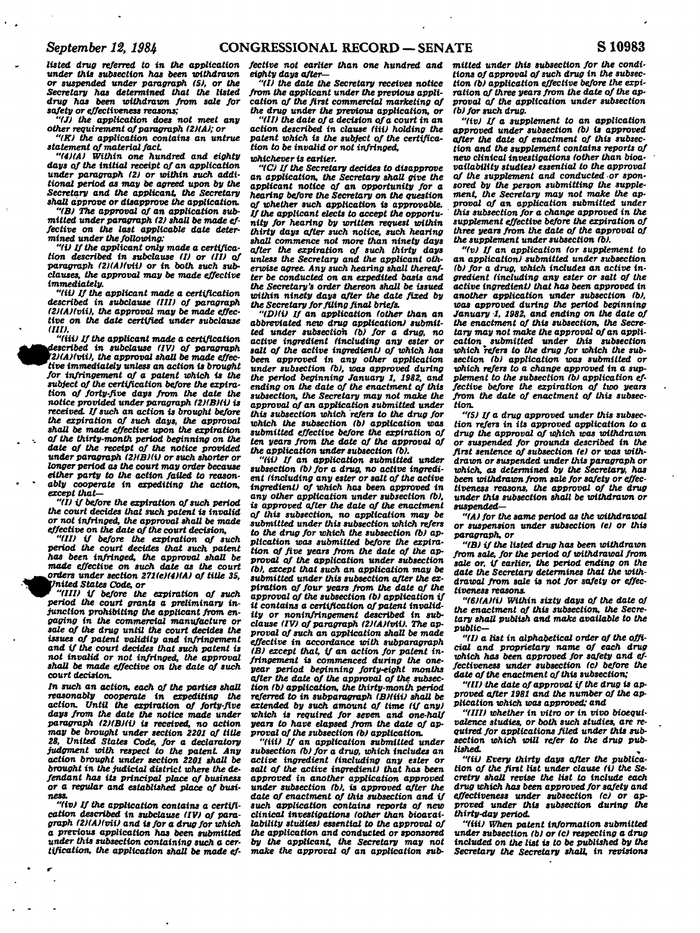*listed drug referred to in the application under this subsection has been withdrawn or suspended under paragraph (S), or the Secretary has determined that the listed drug has been withdrawn from sale for safety or effectiveness reasons:* 

*"(J) the application does not meet any other requirement of paragraph (2)IAt; or "(K) the application contains an untrue* 

*statement of material fact "(4)(A> Within one hundred and eighty days of the initial receipt of an application under paragraph 12) or within such additional period as may be agreed upon by the* 

*Secretary and the applicant, the Secretary shall approve or disapprove the application. "(B) The approval of* **an** *application sub-*

*mitted under paragraph (2) shall be made effective on the last applicable date determined under the following: "(i) If the applicant only made a certifica-*

*tion described in subclause (I) or (II) of paragraph (2)(A)(vii) or in both such subclauses, the approval may be made effective immediately.* 

*"(ii) If the applicant made* **a** *certification described in subclause (III) of paragraph (2)(A)(vii), the approval may be made effective on the date certified under subclause (III).* 

*(Hi) If the applicant made a certification scribed in subclause (IV) of paragraph '2)(A)(vii), the approval shall be made effective immediately unless an action is brought for infringement of a patent which is the subject of the certification before the expiration of forty-five days from the date the notice provided under paragraph (2)(B)(i) is received. If such an action is brought before the expiration of such days, the approval shall be made effective upon the expiration of the thirty-month period beginning on the date of the receipt of the notice provided under paragraph (2)(B)(i) or such shorter or longer period as the court may order because either party to the action failed to reasonably cooperate in expediting the action, except that—* 

*"(I) if before the expiration of such period the court decides that such patent is invalid or not infringed, the approval shall be made effective on the date of the court decision,* 

*"(II) if before the expiration of such period the court decides that such patent has been infringed, the approval shall be made effective on such date as the court orders under section 271(e)(4)(A) of title 35, United States Code, or* 

*'(III) if before the expiration of such period the court grants* **a** *preliminary injunction prohibiting the applicant from engaging in the commercial manufacture or sale of the drug until the court decides the issues of patent validity and infringement and if the court decides that such patent is not invalid or not infringed, the approval shall be made effective on the date of such court decision.* 

*In such an action, each of the parties shall reasonably cooperate in expediting the action. Until the expiration of forty-five days from the date the notice made under paragraph (2)(B)(i) is received, no action may be brought under section 2201 of title 28, United States Code, for a declaratory judgment with respect to the patent Any action brought under section 2201 shall be brought in the judicial district where the defendant has its principal place of business or a regular and established place of business.* 

*"(iv) If the application contains a certification described in subclause (IV) of paragraph (2)(A)(vii) and is for a drug for which a previous application has been submitted under this subsection containing such a certification, the application shall be made ef-* *fective not earlier than one hundred and eighty days after—* 

*"(I) the date the Secretary receives notice from the applicant under the previous application of the first commercial marketing of the drug under the previous application, or* 

*"(II) the date of a decision of a court in* **an**  *action described in clause (Hi) holding the patent which is the subject of the certification to be invalid or not infringed,* 

*whichever is earlier.* 

*"(C) If the Secretary decides to disapprove an application, the Secretary shall give the applicant notice of* **an** *opportunity for a hearing before the Secretary on the question of whether such application is approvable. If the applicant elects to accept the opportunity for hearing by written request within thirty days after such notice, such hearing shall commence not more than ninety days after the expiration of such thirty days unless the Secretary and the applicant otherwise agree. Any such hearing shall thereafter be conducted on an expedited basis and the Secretary's order thereon shall be issued within ninety days after the date fixed by the Secretary for filing final briefs.* 

*"(D)(i) If an application (other than an abbreviated new drug application) submitted under subsection (b) for a drug, no active ingredient (including any ester or salt of the active ingredient) of which has been approved in any other application under subsection (b), was approved during the period beginning January 1, 1982, and ending on the date of the enactment of this subsection, the Secretary may not make the approval of an application submitted under this subsection which refers to the drug for which the subsection lb) application was submitted effective before the expiration of ten years from the date of the approval of the application under subsection (b).* 

*"(ii) If an application submitted under subsection (b) for a drug, no active ingredient (including any ester or salt of the active ingredient) of which has been approved in any other application under subsection (b), is approved after the date of the enactment of this subsection, no application may be submitted under this subsection which refers to the drug for which the subsection (b) application was submitted before the expiration of five years from the date of the approval of the application under subsection (b), except that such an application may be submitted under this subsection after the expiration of four years from the date of the approval of the subsection (b) application if it contains a certification of patent invalidity or noninfringement described in sub-clause (IV) of paragraph (2)(A)(vii). The approval of such an application shall be made effective in accordance with subparagraph (B) except that, if an action for patent infringement is commenced during the oneyear period beginning forty-eight months after the date of the approval of the subsection (b) application, the thirty-month period referred to in subparagraph (B)liii) shall be extended by such amount of time (if any) which is required for seven and one-half years to have elapsed from the date of approval of the subsection (b) application.* 

*"(Hi) If an application submitted under subsection (b) for a drug, which includes an active ingredient (including any ester or salt of the active ingredient) that has been approved in another application approved under subsection (b), is approved after the date of enactment of this subsection and if such application contains reports of new clinical investigations (other than bioavailability studies) essential to the approval of the application and conducted or sponsored by the applicant, the Secretary may not make the approval of an application sub-*

*mitted under this subsection for the conditions of approval of such drug in the subsection (b) application effective before the expiration of three years from the date of the approval of the application under subsection (b) for such drug.* 

*"(iv) If a supplement to an application approved under subsection (b) is approved after the date of enactment of this subsection and the supplement contains reports of new clinical investigations (other than bioavailability studies) essential to the approval of the supplement and conducted or sponsored by the person submitting the supplement, the Secretary may not make the approval of an application submitted under this subsection for a change approved in the supplement effective before the expiration of three years from the date of the approval of the supplement under subsection (b).* 

*"Iv) If an application lor supplement to*  **an** *application) submitted under subsection (b) for a drug, which includes* **an** *active ingredient (including any ester or salt of the active ingredient) that has been approved in another application under subsection lb), was approved during the period beginning January -1, 1982, and ending on the date of the enactment of this subsection, the Secretary may not make the approval of an application ^ submitted under this subsection which refers to the drug for which the subsection (b) application was submitted or which refers to a change approved in a supplement to the subsection (b) application effective before the expiration of two years from the date of enactment of this subsection.* 

*"(5) If a drug approved under this subsection refers in its approved application to a drug the approval of which was withdrawn or suspended for grounds described in the first sentence of subsection (e) or was withdrawn or suspended under this paragraph or which, as determined by the Secretary, has been withdrawn from sale for safety or effectiveness reasons, the approval of the drug under this subsection shall be withdrawn or suspended—* 

*"(A) for the same period as the withdrawal or suspension under subsection (e) or this paragraph] or* 

*"(B) if the listed drug has been withdrawn from sale, for the period of withdrawal from sale or, if earlier, the period ending on the date the Secretary determines that the withdrawal from sale is not for safety or effectiveness reasons.* 

*"(6)(A)(i) Within sixty days of the date of the enactment of this subsection, the Secretary shall publish and make available to the public—* 

*"(I) a list in alphabetical order of the official and proprietary name of each drug which has been approved for safety and effectiveness under subsection (c) before the date of the enactment of this subsection;* 

*"(II) the date of approval if the drug is approved after 1981 and the number of the application which was approved; and* 

*"(III) whether in vitro or in vivo bioequivalence studies, or both such studies, are required for applications filed under this subsection which will refer to the drug published.* **,** 

*"(ii) Every thirty days after the publication of the first list under clause (i) the Secretry shall revise the list to include each drug which has been approved for safety and effectiveness under subsection (c) or approved under this subsection during the thirty-day period.* 

*"(Hi) When patent information submitted under subsection lb) or (c) respecting a drug included on the list is to be published by the Secretary the Secretary shall, in revisions*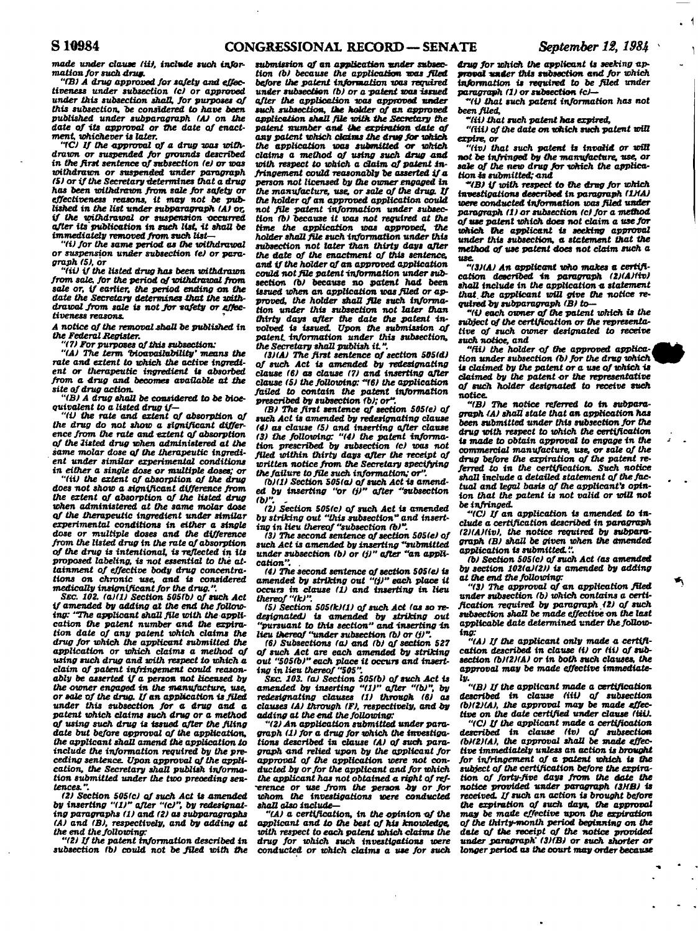made under clause (ii), include such information for such drug.

*"(B) A drug approved for safety and effectiveness under subsection (c) or approved under this subsection shall, for purposes of this subsection, be considered to have been published under subparagraph (A) on the date of its approval or the date of enactment, whichever is later.* 

*"JO If the -approval of a drug -was withdrawn or suspended for grounds described*  in the first sentence of subsection (e) or was *withdrawn or suspended under paragraph IS) or if the Secretary determines that a drug has been withdrawn from sale for safety or effectiveness reasons, it may not be published in the list under subparagraph (A) or, if the withdrawal or suspension -occurred after its'publication in such list, it shaM be immediately removed from such list***—** 

*"(i) for the same period as the withdrawal or suspension under subsection tei or paragraph (5), or* 

*"(ii) if the listed drug has been withdrawn from sale, for the period of withdrawal from sale or, if earlier, the period ending on the date the Secretary determines that the withdrawal from sale is not Jor safety or effectiveness reasons. '* 

*A notice of the removal shall be published* **in**  *the Federal Register.* 

*"(7) For purposes of this subsection: "(A) The term 'bioavailability' means the rate and extent to which the active ingredient or therapeutic ingredient is absorbed from a drug and becomes available at the site of drug action.* 

*"(B) A drug shall be considered to be bioequivalent to a listed drug if—* 

*"<ii the rate and extent of absorption of the drug do not show a significant difference from the rate and extent of absorption of the listed drug when administered at the same molar dose of the therapeutic ingredient under simUar experimental conditions in either a single dose or multiple doses; or* 

*"(ii) the extent of absorption of the drug does not show a significant difference from the extent of absorption of the listed drug when administered at the same molar dose of the therapeutic ingredient under similar experimental conditions in either a single dose or multiple doses and the difference from the listed drug in the rate of absorption of the drug is intentional, is -reflected in its proposed labeling, is not essential to the attainment of effective body drug concentrations on chronic use, and is considered medically insignificant for the drug.".* 

*SEC. 102. (a)(1) Section 505(b) of such Act if amended by adding at the end the following: "The applicant shall file with the application the patent number and the expira-tion date of any patent which claims the drug for which the applicant submitted the application or which claims a method of using such drug and with respect to which a claim of patent infringement could reasonably be asserted if a person not licensed by the owner engaged in the manufacture, use, or sale of the drug. If* **an** *application is filed under this subsection for a drug and a patent which claims such drug or a method of using such drug is issued after the filing date but before approval of the application, the applicant shall amend the application to include the information required by the preceding sentence. Upon approval of the appli-cation, the Secretary shall publish informa*cation, the Secretary shall publish informa*tion submitted under the two preceding sentences.".* 

*(2) Section 505(c) of such Act is amended by inserting "IV after "(c)", by redesignat-ing paragraphs (1) and (2) as subparagraphs (A) and (B), respectively, and by adding at the end the following:* 

*"(2) If the patent information described in subsection (b) could not be filed with* **the** 

*submission of* **an** *application -under subsection (b) because the application was filed before the patent information was required under subsection (b) or a -patent was issued after the application -was approved under such subsection, the holder of an approved application shall file with the Secretary the patent number and the expiration date of any patent which claims the drug for which the application was submitted or which claims a method of using such drug and with respect to which* **a claim** *of patent infringement could reasonably be asserted if a person not licensed by the owner engaged in the manufacture, use, or sale of the drug. If the holder of an approved application could not file patent information under subsection fb) because it was not required at the time the application was approved, the holder shall file such information under this subsection not later than thirty days after tubsection not later than thirty days after* the date of the enactment of this sentence, and if the holder of an approved application could not file patent information under subsection (b) because no patent had been *issued when an application was filed or ap*proved, the holder shall file such informa*tion under this subsection not later than fhirty days after the date the patent in-*<br>*polved is issued. Upon the submission of the Secretary shaM publish it".* 

*(3)(A) The first sentence of section 505(d) of such Act is amended by redesignating clause (6) as clause (7) and inserting after clause (5) the following: "(6) the application failed to* **contain** *the patent information prescribed by subsection fb); or".* 

*(B) The first sentence of section 505(e) of such Act is amended by redesignating clause (4) as clause (5) and inserting after clause (3) the following: "(4) the patent informa-tion prescribed by subsection (c) was not filed within thirty days after the receipt of written notice from the Secretary specifying the failure to file such information; or".* 

*(b)(1) Section 505(a) of such Act is amend-ed by inserting "or (j)" after "subsection*  (b)

*(2) Section 505(c) of such Act is amended by striking out "this subsection" and inserting in lieu thereof "subsection (b)".* 

*(3) The second sentence of section 505(e) of such Act is amended by inserting "submitted under subsection (b) or (j)" after "an application". .* 

*(4) The second sentence of section 505(e) is amended by striking out "(j)" each place it occurs in clause (1)* **and** *inserting in lieu thereof "(k)".* 

*(5) Section 505(h)(1) of such Act (as so redesignated) is amended by striking out "pursuant to this section" and inserting in lieu thereof "under subsection (b) or (j)".* 

*(6) Subsections (a) and (b) of section 527 of such Act are each amended by striking out "505(b)" each place it occurs and insert-ing in lieu thereof "505".* 

*Sec. 103. (a) Section 505(b) of such Act is amended by inserting "(1)" after "(b)", by redesignating clauses (1) through (6) as clauses (A) through (F), respectively, and by adding at the end the following:* 

*"(2) An application submitted under paragraph (1) for a drug for which the investigations described in clause (A) of such paragraph and relied* **upon** *by the applicant for approval of the application were not conducted by or for the applicant and for which the applicant has not obtained a right of ref- •erence or use Jrom the person by or for whom the investigations were conducted shall also include—* 

*"(A) a certification, in the opinion of the applicant and to the best of his knowledge, with respect to each patent which claims the drug for which such investigations were conducted or which claims* **a** *use for such* 

drug for which the applicant is seeking ap*proval -under this subsection and for which information is required to be filed under paragraph (1) or subsection fc)—* 

*"(i) -that such patent information has not been filed,* 

*m tii) that such patent has expired, "(iii) of the date on which such patent will* 

*expire, or "(iv) that such patent is invalid or wSl*  not be infringed by the manufacture, use, or *sale of the new drug for which the application is submitted; and* 

*~iB) if with respect* **to** *the drug for which investigations described in paragraph (VIA) were conducted information was filed under paragraph (1) or subsection (cf for a method of use patent which does not claim* **a** *use for which the applicant is seeking approval under this subsection, a statement that the method of use patent does not claim such a use.* 

*"(3)(A) An applicant who makes* **a** *certification described in paragraph (2)(A)ixo) shall include in the application a statement that, the applicant will give the notice required by subparagraph (B) to—* 

*"(i) each owner of the patent which is the subject of the certification or the representative of such owner designated to receive such notice, and* 

*"(H) the holder of the approved application under subsection fb) for the drug which is claimed by the patent or a use of which is claimed by the patent or the representative of such holder designated to receive such notice* 

*"(B) The* **notice re/erred** *to in subparagraph (A) shall state that an application has been submitted under this subsection for the drug with respect to which the certification is made to obtain approval to engage in the commercial manufacture, use, or sale of the drug before the expiration of the patent referred to in the certification. Such notice shall include a detailed statement of the factual* **and** *legal basis of the applicant's opinion that the patent is not valid or will not be infringed.* 

*"(C) If an application is amended to include a certification described in paragraph (2)(A)(iv), the notice required by subparagraph (B) shall be given when the amended application is submitted".* 

*(b) Section 505(c) of such Act (as amended by section 102(a)(2)) is amended by adding at the end the following:* 

*"(3) The approval of an application filed under subsection (b) which* **contains a certi***flcation required by paragraph (2) of such subsection shall be made effective on the last applicable date determined under the following:* 

*"(A) If the applicant only made a certification described in clause (i) or (ii) of subsection (b)(2)(A) or* **in** *both such clauses, the approval may be made effective immediate-*

*ly. "(B) If the applicant made a certification described in clause (iii) of subsection (b)(2)(A), the approval may be made effective on the date certified under clause (iii).* 

*"(C) If the applicant made a certification described in clause (iv) of subsection (b)(2)(A), the approval shall be made effective immediately unless an action is brought for infringement of a patent which is the subject of the certification before the expiration of forty-five days from the date the notice provided under paragraph (3MB) is received. If such* **an action** *is brought before the expiration of such days, the approval may be made effective upon the expiration of the thirty-month period beginning on the date of the receipt of the notice provided under paragraph' (3XB) or such shorter or longer period us the court may order because* 



 $\mathcal{L}^{\pm}$ 

. 1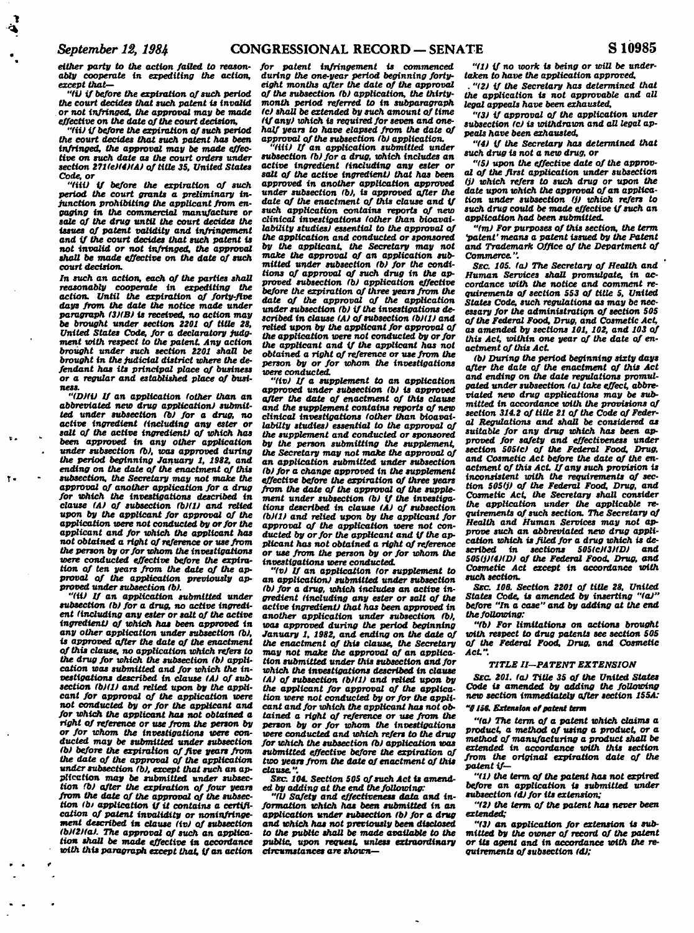*either party to the action failed to reason-ably cooperate in expediting the action, except that—* 

*"(i) if before the expiration of such period the court decides that such patent is invalid or not infringed, the approval may be made effective on the date of the court decision,* 

*"Hi) if before the expiration of such period the court decides that such patent has been infringed, the approval may be made effective on such date as the court orders under section 271(e)(4)(A) of title 35, United States Code, or* 

*"(Hi) if before the expiration of such period the court grants a preliminary in-junction prohibiting the applicant from engaging in the commercial manufacture or sale of the drug until the court decides the issues of patent validity and infringement and if the court decides that such patent is not invalid or not infringed, the approval shall be made effective on the date of such court decision.* 

*In such an action, each of the parties shall reasonably cooperate in expediting the action. Until the expiration of forty-five days from the date the notice made under paragraph (3)(B) is received, no action may be brought under section 2201 of title 28, United States Code, for a declaratory judgment with respect to the patent Any action brought under such section 2201 shall be brought in the judicial district where the defendant has its principal place of business or a regular and established place of business.* 

*"(D)(i) If an application (other than an abbreviated new drug application) submit-ted under subsection (b) for a drug, no active ingredient (including any ester or salt of the active ingredient) of which has been approved in any other application under subsection (b), was approved during the period beginning January 1, 1982, and ending on the date of the enactment of this subsection, the Secretary may not make the approval of another application for a drug for which the investigations described in clause (A) of subsection (b)(1) and relied upon by the applicant for approval of the application were not conducted by or for the applicant and for which the applicant has not obtained a right of reference or use from the person by or for whom the investigations were conducted effective before the expiration of ten years from the date of the approval of the application previously approved under subsection (b).* 

٢.

*"(ii) If an application submitted under subsection (b) for a drug, no active ingredient (including any ester or salt of the active ingredient) of which has been approved in any other application under subsection (b), is approved after the date of the enactment of this clause, no application which refers to the drug for which the subsection (b) application was submitted and for which the investigations described in clause (A) of subsection (b)(1) and relied upon by the applicant for approval of the application were not conducted by or for the applicant and for which the applicant has not obtained a right of reference or use from the person by or for whom the investigations were conducted may be submitted under subsection (b) before the expiration of five years from the date of the approval of the application under subsection (b), except that such* **an** *application may be submitted under subsection (b) after the expiration of four years from the date of the approval of the subsection Ibi application if it contains a certification of patent invalidity or noninfringement described in clause (iv) of subsection (b)(2)(a). The approval of such* **an** *application shall be made effective in accordance with this paragraph except that, if an action* 

*for patent infringement is commenced during the one-year period beginning forty-eight months after the date of the approval of the subsection (b) application, the thirtymonth period referred to in subparagraph (c) shall be extended by such amount of time (if any) which is required for seven and onehalf years to have elapsed from the date of approval of the subsection (b) application.* 

*"(Hi) If an application submitted under subsection (b) for a drug, which includes an active ingredient (including any ester or salt of the active ingredient) that has been approved in another application approved under subsection (b), is approved after the date of the enactment of this clause and if such application contains reports of new clinical investigations (other than bioavailability studies) essential to the approval of the application and conducted or sponsored by the applicant, the Secretary may not make the approval of an application submitted under subsection (b) for the conditions of approval of such drug* **in** *the approved subsection (b) application effective before the expiration of three years from the date of the approval of the application under subsection (b) if the investigations described in clause (A) of subsection (b)(1) and relied upon by the applicant for approval of the application were not conducted by or for the applicant and if the applicant has not obtained a right of reference or use from the person by or for whom the investigations were conducted.* 

*"(iv) If a supplement to an application approved under subsection (b) is approved after the date of enactment of this clause and the supplement contains reports of* **new clinical** *investigations (other than bioavailabilty studies) essential to the approval of the supplement and conducted or sponsored by the person submitting the supplement, the Secretary may not make the approval of an application submitted under subsection (b) for a change approved in the supplement effective before the expiration of three years from the date of the approval of the supplement under subsection (b) if the investigations described in clause (A) of subsection (b)(1) and relied upon by the applicant for approval of the application were not conducted by or for the applicant and if the ap-plicant has not obtained a right of reference or use from the person by or for whom the investigations were conducted.* 

*"(v) If an application (or supplement to an application) submitted under subsection (b) for a drug, which includes an active ingredient (including any ester or salt of the active ingredient) that has been approved in another application under subsection (b), was approved during the period beginning January 1, 1982, and ending on the date of the enactment of this clause, the Secretary may not make the approval of* **an** *application submitted under this subsection and for which the investigations described in clause (A) of subsection (b)(1) and relied upon by the applicant for approval of the application were not conducted by or for the applicant and for which the applicant has not obtained a right of reference or use from the person by or for whom the investigations were conducted and which refers to the drug for which the subsection (b) application was submitted effective before the expiration of tubmitted effective before the expiration of two years from the date of enactment of this*<br>clause."

*Sec. 104. Section 505 of such Act is amended by adding at the end the following:* 

*"(I) Safety and effectiveness data and information which has been submitted in* **an**  *application under subsection (b) for a drug and which has not previously been disclosed to the public shall be made available to the public, upon request, unless extraordinary circumstances are shown—* 

*"(1) if no work is being or will be undertaken to have the application approved,* 

*. "(2) if the Secretary has determined that the application is not approvable and all legal appeals have been exhausted,* 

*"(3) if approval of the application under subsection (c) is withdrawn and all legal appeals have been exhausted,* 

*"(4) if the Secretary has determined that such drug is not a new drug, or* 

*"(5) upon the effective date of the approval of the first application under subsection (j) which refers to such drug or upon the date upon which the approval of an application under subsection (j) which refers to such drug could be made effective if such an application had been submitted.* 

*"(m) For purposes of this section, the term 'patent' means a patent issued by the Patent and Trademark Office of the Department of Commerce.".* 

*SEC. 105. (a) The Secretary of Health and Human Services shall promulgate, in accordance with the* **notice and** *comment requirements of section 553 of title 5, United States Code, such regulations as may be necessary for the administration of section 505 of the Federal Food, Drug, and Cosmetic Act, as amended by sections 101, 102, and 103 of this Act, within one year of the date of enactment of this Act* 

*(b) During the period beginning sixty days after the date of the enactment of this Act and ending on the date regulations promulgated under subsection (a) take effect, abbreviated new drug applications may be submitted in accordance with the provisions of section 314.2 of title 21 of the Code of Federal Regulations and shall be considered as suitable for any drug which has been ap-proved for safety and effectiveness under section 505(c) of the Federal Food, Drug, and Cosmetic Act before the date of the enactment of this Act If any such provision is inconsistent with the requirements of section 505 (j) of the Federal Food, Drug, and Cosmetic Act the Secretary shall consider the application under the applicable requirements of such section. The Secretary of Health and Human Services may not approve such an abbreviated new drug application which is filed for a drug which is described in sections 505(c)(3)(D) and S0S(j)(4)(D) of the Federal Food, Drug, and Cosmetic Act except in accordance with such section.* 

*Sec. 106. Section 2201 of title 28, United States Code, is amended by inserting "(a)" before "In a case" and by adding at the end the following:* 

*"(b) For limitations on actions brought with respect to drug patents see section 505 of the Federal Food, Drug, and Cosmetic Act".* 

## *TITLE II—PATENT EXTENSION*

*SEC. 201. (a) Title 35 of the United States Code is amended by adding the following new section immediately after section 155A:* 

## *"§ 156. Extension of patent term*

*"(a) The term of a patent which claims a product a method of using a product or a method of manufacturing a product shall be extended* **in accordance** *with this section from the original expiration date of the patent if—* 

*"(1) the term of the patent has not expired before* **an** *application is submitted under subsection (d)for its extension;* 

*"(2) the term of the patent has never been extended;* 

*"(3) an application for extension is submitted by the owner of record of the patent or its agent and in accordance with the requirements of subsection (d);*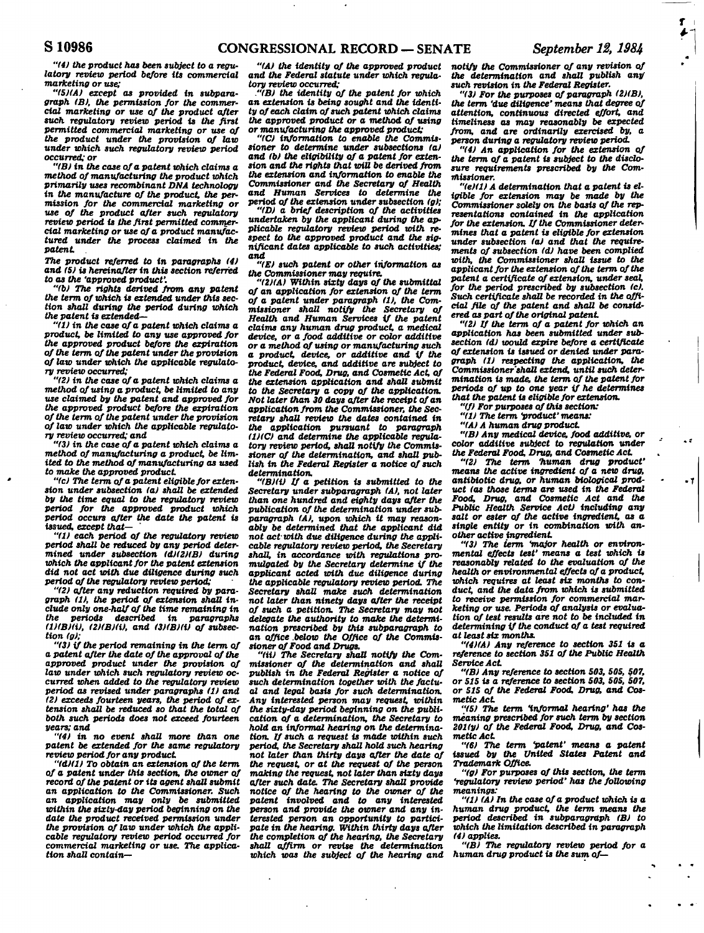*"(4) the product has been subject to a regulatory review period before its commercial marketing or use;* 

*"(S)(A) except as provided in subparagraph (B), the permission for the commercial marketing or use of the product after such regulatory review period is the first permitted commercial marketing or use of the product under the provision of law under which such regulatory review period occurred; or* 

*"(B) in the case of a patent which claims a method of manufacturing the product which primarily uses recombinant DNA technology in the manufacture of the product, the permission for the commercial marketing or use of the product after such regulatory review period is the first permitted commercial marketing or use of a product manufactured under the process claimed in the patent* 

*The product referred to in paragraphs (4) and (S) is hereinafter in this section referred to as the 'approved product'.* 

*"(b) The rights derived from any patent the term of which is extended under this section shall during the period during which the patent is extended—* 

*"(1) in the case of a patent which claims a product, be limited to any use approved for the approved product before the expiration of the term of the patent under the provision of law under which the applicable regulatory review occurred;* 

*"(2) in the case of a patent which claims a method of using a product, be limited to any use claimed by the patent and approved for the approved product before the expiration of the term of the patent under the provision of law under which the applicable regulatory review occurred; and* 

*"(3) in the case of a patent which claims a method of manufacturing a product, be limited to the method of manufacturing as used to make the approved product* 

*"(c) The term of a patent eligible for extension under subsection (a) shall be extended by the time equal to the regulatory review period for the approved product which period occurs after the date the patent is issued, except that—* 

*"(1) each period of the regulatory review period shall be reduced by any period determined under subsection (d)(2)(B) during which the applicant for the patent extension did not act with due diligence during such period of the regulatory review period;* 

*"(2) after any reduction required by paragraph (1), the period of extension shall in-clude only one-half of the time remaining in the periods described in paragraphs (l)(B)(i), (2)(B)(i), and (3)(B)(i) of subsection (g);* 

*"(3) if the period remaining in the term of a patent after the date of the approval of the approved product under the provision of law under which such regulatory review occurred when added to the regulatory review period as revised under paragraphs (1) and (2) exceeds fourteen years, the period of extension shall be reduced so that the total of both such periods does not exceed fourteen years; and* 

*"(4) in no event shall more than one patent be extended for the same regulatory review period for any product* 

*"(d)(1) To obtain an extension of the term of a patent under this section, the owner of record of the patent or its agent shall submit an application to the Commissioner. Such an application may only be submitted within the sixty-day period beginning on the date the product received permission under the provision of law under which the applicable regulatory review period occurred for commercial marketing or use. The application shall contain—* 

*"(A) the identity of the approved product and the Federal statute under which regulatory review occurred;* 

*."(B) the identity of the patent for which an extension is being sought and the identity of each claim of such patent which claims the approved product or a method of using* 

*or manufacturing the approved product' "(C) information to enable the Commis-sioner to determine under subsections (a) and (b) the eligibility of a patent for extension and the rights that will be derived from the extension and information to enable the Commissioner and the Secretary of Health and Human Services to determine the* 

*period of the extension under subsection (g); "(D) a brief description of the activities undertaken by the applicant during the applicable regulatory review period with re-spect to the approved product and the sig-nificant dates applicable to such activities; and* 

*"(E) such patent or other information as the Commissioner may require.* 

*"(2)(A) Within sixty days of the submittal of an application for extension of the term of a patent under paragraph (1), the Com-missioner shall notify the Secretary of Health and Human Services if the patent claims any human drug product a medical device, or a food additive or color additive or a method of using or manufacturing such a product device, or additive and if the product device, and additive are subject to the Federal Food, Drug, and Cosmetic Act of the extension application and shall* **submit**  *to the Secretary a copy of the application. Not later than 30 days after the receipt of an application from the Commissioner, the Secretary shall review the dates contained in the application pursuant to paragraph (IXC) and determine the applicable regulatory review period, shall notify the Commissioner of the determination, and shall publish in the Federal Register a notice of such determination.* 

*"(B)(i) If a petition is submitted to the Secretary under subparagraph (A), not later than one hundred and eighty days after the publication of the determination under subparagraph (A), upon which it may reason-ably be determined that the applicant did not act-with due diligence during the applicable regulatory review period, the Secretary shall, in accordance with regulations promulgated by the Secretary determine if the applicant acted with due diligence during the applicable regulatory review period. The Secretary shall make such determination not later than ninety days after the receipt of such a petition. The Secretary may not delegate the authority to make the determination prescribed by this subparagraph to*  **an** *office .below the Office of the Commissioner of Food and Drugs.* 

*"(ii) The Secretary shall notify the Com-missioner of the determination and shall publish in the Federal Register a notice of such determination together with the factual and legal basis for such determination. Any interested person may request within the sixty-day period beginning on the publication of a determination, the Secretary to hold an informal hearing on the determination. If such a request is made within such period, the Secretary shall hold such hearing not later than thirty days after the date of the request or at the request of the person making the request not later than sixty days after such date. The Secretary shall provide notice of the hearing to the owner of the patent involved and to any interested person and provide the owner and any interested person an opportunity to participate in the hearing. Within thirty days after the completion of the hearing, the Secretary shall affirm or revise the determination which was the subject of the hearing and* 

*notify the Commissioner of any revision of the determination and shall publish any such revision in the Federal Register.* 

*"(3) For the purposes of paragraph (2)(B), the term 'due diligence' means that degree of attention, continuous directed effort and timeliness as may reasonably be expected from, and are ordinarily exercised by, a person during a regulatory review period.* 

*"(4) An application for the extension of the term of a patent is subject to the disclosure requirements prescribed by the Commissioner.* 

*"(e)(1) A determination that a patent is eligible for extension may be made by the Commissioner solely on the basis of the representations contained in the application for the extension. If the Commissioner determines that a patent is eligible for extension under subsection (a) and that the requirements of subsection (d) have been complied with, the Commissioner shall issue to the applicant for the extension of the term of the patent a certificate of extension, under seal, for the period prescribed by subsection (c). Such certificate shall be recorded in the official file of the patent and shall be considered as part of the original patent* 

*"(2) If the term of a patent for which an application has been submitted under subsection (d) would expire before* **a** *certificate of extension is issued or denied under para*graph (1) respecting the application, *Commissioner'shall extend, until such determination is made, the term of the patent for periods of up to one year if he determines that the patent is eligible for extension.* 

*"(f) For purposes of this section:* 

*"(1) The term "product' means:* 

*"(A) A human drug product* 

*"(B) Any medical device, food additive, or color additive subject to regulation under the Federal Food, Drug, and Cosmetic Act* 

 $\overline{z}$ 

 $-7$ 

*"(2) The term "human drug product' means the active ingredient of* **a** *new drug, antibiotic drug, or human biological product (as those terms are used in the Federal Food, Drug, and Cosmetic Act and the Public Health Service Act) including any salt or ester of the active ingredient as* **a**  *single entity or in combination with another active ingredient* 

*"(3) The term "major health or environmental effects test' means a test which is reasonably related to the evaluation of the health or environmental effects of a product which requires at least six months to conduct and the data from which is submitted to receive permission for commercial marketing or use. Periods of analysis or evaluation of test results are not to be included in determining if the conduct of a test required at least six months.* 

*"(4)(A) Any reference to section 351 is a reference to section 351 of the Public Health Service Act* 

*"(B) Any reference to section 503, SOS, 507, or 515 is a reference to section S03, SOS, 507, or SIS of the Federal Food, Drug, and Cosmetic Act* 

*"(5) The term "informal hearing' has the meaning prescribed for such term by section 201 (y) of the Federal Food, Drug, and Cosmetic Act* 

*"(6) The term "patent' means a patent issued by the United States Patent and Trademark Office.* 

*"(g) For purposes of this section, the term "regulatory review period' has the following meanings:* 

*"(1) (A) In the case of a product which is a human drug product the term means the period described in subparagraph (B) to which the limitation described in paragraph (4) applies.* 

*"(B) The regulatory review period for a human drug product is the sum of—*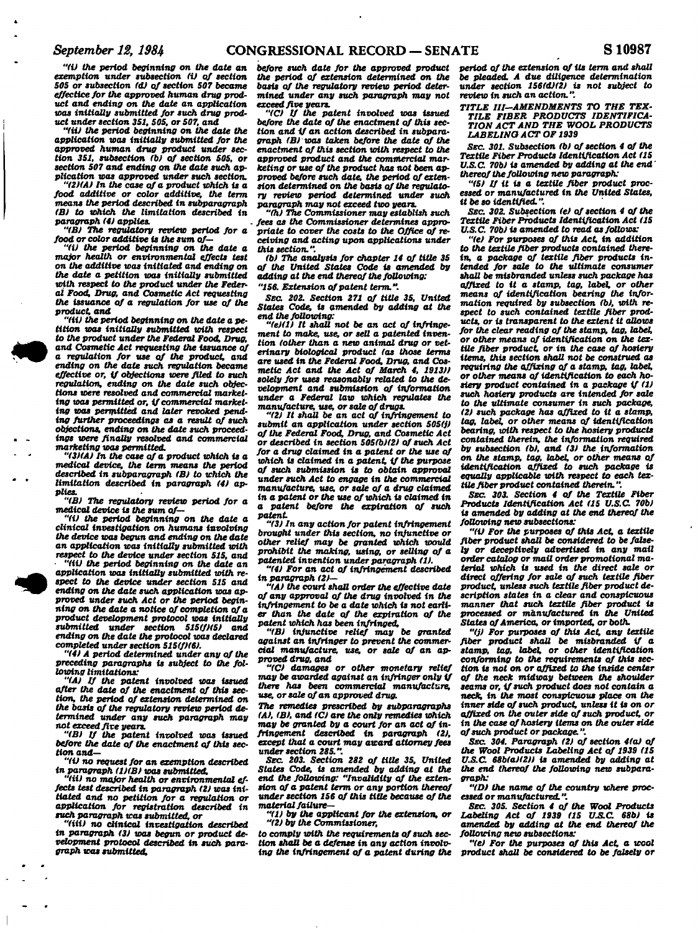*"(i) the period beginning on the date an exemption under subsection tit of section 505 or subsection (d) of section 507 became effectice for the approved human drug product and ending on the date* **an** *application was initially submitted for such drug product under section 351. 505, or 507, and* 

*"Hi) the period beginning on the date the application was initially submitted for the approved human drug product under sec-tion 351, subsection (b) of section 505, or section 507 and ending on the date such application was approved under such section.* 

*"(2)(A) In the case of* **a** *product which is a food additive or color additive, the term means the period described in subparagraph (B) to which the limitation described in paragraph (4) applies.* 

*"(B) The regulatory review period for a food or color additive is the sum of—* 

*"til the period beginning on the date a major health or environmental effects test on the additive was initiated and ending on the date a petition was initially submitted with respect to the product under the Federal Food, Drug, and Cosmetic Act requesting the issuance of a regulation for use of the product, and* 

*"Hi) (he period beginning on the date a petition was initially submitted with respect to the product under the Federal Food, Drug, and Cosmetic Act requesting the issuance of a regulation for use of the product, and ending on the date such regulation became effective or. if objections were filed to such regulation, ending on the date such objections were resolved and commercial marketing was permitted or, if commercial marketing was permitted and later revoked pending further proceedings as a result of such objections, ending on the date such proceedings were finally resolved and commercial marketing was permitted.* 

*"(3)(A) In the case of a product which is a medical device, the term means the period described* **in** *subparagraph (B) to which the limitation described in paragraph (4) applies.* 

*"(B) The regulatory review period for a medical device is the sum of—* 

*"(i) the period beginning on the date* **a clinical** *investigation on humans involving the device was begun and ending on the date an application was initially submitted with respect to the device under section 515, and* 

*• "Hi) the period beginning on the date an application was initially submitted with respect to the device under section 515 and ending on the date such application was approved under such Act or the period beginning on the date a notice of completion of a product development protocol was initially submitted under section 515(f)(5) and ending on the date the protocol was declared completed under section 515(f)(6).* 

*"(4) A period determined under any of the preceding paragraphs is subject to the following limitations:* 

*"(A) If the patent involved was issued after the date of the enactment of this section, the period of extension determined on the basis of the regulatory review period determined under any such paragraph may not exceed five years.* 

*"(B) If the patent involved was issued before the date of the enactment of this section and—* 

*"(i) no request for an exemption described*  **in** *paragraph (1)(B) was submitted.* 

*"(ii) no major health or environmental effects test described in paragraph (2) was initiated and no petition for a regulation or application for registration described in such paragraph was submitted, or* 

*"(Hi) no clinical investigation described in paragraph (3) was begun or product development protocol described* **in** *such paragraph was submitted.* 

*before such date for the approved product the period of extension determined on the basis of the regulatory review period determined under any such paragraph may not exceed five years.* 

*"(C) If the patent involved urns issued before the date of the enactment of this section and if an action described in subparagraph (B) was taken before the date of the enactment of this section with respect to the approved product and the commercial marketing or use of the product has not been approved before such date, the period of extension determined* **on** *the basis of the regulatory review period determined under such paragraph may not exceed two years.* 

*"(h) The Commissioner may establish such fees as the Commissioner determines appropriate to cover the costs to the Office of receiving and acting upon applications under this section.".* 

*(b) The analysis for chapter 14 of title 35 of the United States Code is amended by adding at the end thereof the following: "156. Extension of patent term."* 

*Ssc. 202. Section 271 of title 35, United States Code, is amended by adding at the end the following:* 

*"(e)(1) It shall not be* **an** *act of infringement to make, use, or sell a patented invention (other than a new animal drug or veterinary biological product (as those terms are used in the Federal Food, Drug, and Cosmetic Act and the Act of March 4, 1913)) solely for uses reasonably related to the development and submission of information under a Federal law which regulates the* 

*manufacture, use, or sale of drugs. "(2) It shall be an act of infringement to submit* **an** *application under section SOS(j) of the Federal Food, Drug, and Cosmetic Act or described in section 505(b)(2) of such Act for* **a** *drug claimed* **in a** *patent or the use of which is claimed in* **a** *patent, if the purpose of such submission is to obtain approval under such Act to engage in the commercial manufacture, use, or sale of* **a** *drug claimed*  **in a** *patent or the use of which is claimed in a patent before the expiration of such*  **patent** 

*"(3) In any action for patent infringement brought under this section, no injunctive or other relief may be granted which would prohibit the making, using, or selling of* **a**  *patented invention under paragraph (1).* 

*"(4) For* **an** *act of infringement described in paragraph (2)—* 

*"(A) the court shall order the effective date of any approval of the drug involved* **in** *the infringement to be a date which is not earlier than the date of the expiration of the patent which has been infringed,* 

*"(B) injunctive relief may be granted against an infringer to prevent the commercial manufacture, use, or sale of an approved drug, and* 

*"(C) damages or other monetary relief may be awarded against* **an** *infringer only if there has been commercial manufacture, use, or sale of an approved drug.* 

*The remedies prescribed by subparagraphs (A), IB), and (C) are the only remedies which may be granted by a court for an act of infringement described in paragraph (2), except that* **a** *court may award attorney fees under section 285.".* 

*Sec. 203. Section 282 of title 35. United States Code, is amended by adding at the end the following: "Invalidity of the extension of a patent term or any portion thereof under section 156 of this title because of the material failure—* 

*"(1) by the applicant for the extension, or "(2) by the Commissioner,* 

*to comply with the requirements of such section shall be* **a** *defense in any action involving the infringement of a patent during the*  *period of the extension of its term and shall be pleaded. A due diligence determination under section 156(d)(2) is not subject to review in such* **an action.".** 

*TITLE HI—AMENDMENTS TO THE TEX-TILE FIBER PRODUCTS IDENTIFICA-TION ACT AND THE WOOL PRODUCTS LABELING ACT OF 1939* 

*Ssc. 301. Subsection (b) of section 4 of the Textile Fiber Products Identification Act (15 U.S.C. 70b) is amended by adding at the end' thereof the following new paragraph:* 

*"(5) If it is a textile fiber product processed or manufactured in the United States, it be so identified.".* 

*Sec. 302. Subsection (e) of section 4 of the Textile Fiber Products Identification Act (IS U.S.C. 70b) is amended to read as follows:* 

*"(e) For purposes of this Act, in addition to the textile fiber products contained therein, a package of textile fiber products intended for sale to the ultimate consumer shall be misbranded unless such package has affixed to it a stamp, tag, label, or other means of identification bearing the information required by subsection (b), with respect to such contained textile fiber products, or is transparent to the extent it allows for the clear reading of the stamp, tag, label, or other means of identification* **on** *the textile fiber product, or in the case of hosiery items, this section shall not be construed as requiring the affixing of a stamp, tag, label, or other means of identification to each hosiery product contained in a package if (1) such hosiery products are intended for sale to the ultimate consumer* **in** *such package, (2) such package has affixed to it a stamp tag, label, or other means of identification bearing, with respect to the hosiery products contained therein, the information required by subsection (b), and (3) the information on the stamp, tag, label, or other means of identification affixed to such package is equally applicable with respect to each textile fiber product contained therein.".* 

*SEC. 303. Section 4 of the Textile Fiber Products Identification Act (15 U.S.C. 70b) is amended by adding at the end thereof the following new subsections:* 

*"(i) For the purposes of this Act, a textile fiber product shall be considered to be falsely or deceptively advertised* **in** *any mail order catalog or maU order promotional material which is used in the direct sale or direct offering for sale of such textile fiber product, unless such textile fiber product description states in* **a** *clear and conspicuous manner that such textile fiber product is processed or manufactured in the United States of America, or imported, or both.* 

*"(j) For purposes of this Act, any textile fiber product shall be misbranded if a stamp tag, label, or other identification conforming to the requirements of this section is not on or affixed to the inside center of the neck midway between the shoulder seams or, if such product does not contain a neck, in the most conspicuous place on the inner side of such product, unless it is on or affixed on the outer side of such product, or*  **in** *the case of hosiery items on the outer side of such product or package.".* 

*Ssc. 304. Paragraph (2) of section 4(a) of the Wool Products Labeling Act of 1939 (IS U.S.C. 68b(a)(2)) is amended by adding at the end thereof the following* **nets** *subparagraph:* 

*"(D) the name of the country where processed or manufactured.".* 

*Sec. 305. Section 4 of the Wool Products Labeling Act of 1939 (IS UJS.C. 68b) is amended by adding at the end thereof the following new subsections:* 

*"(e) For the purposes of this Act, a wool product shall be considered to be falsely or*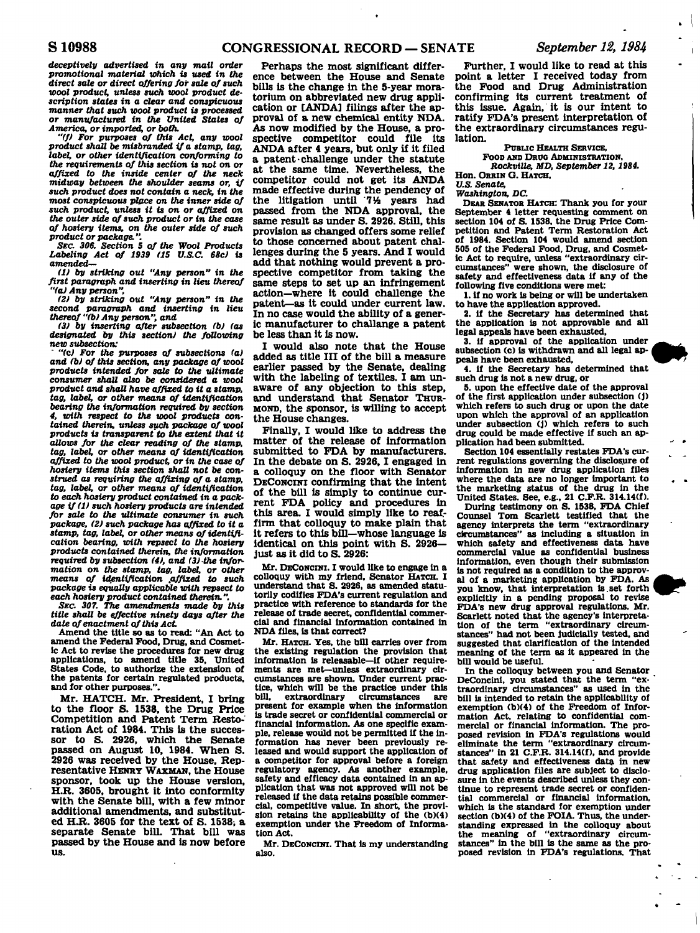# **S10988 CONGRESSIONAL RECORD — SENATE** *September 12, 1984*

 $\bullet$ 

 $\mathbf{I}$ 

*deceptively advertised in any mail order promotional material which is used in the direct sale or direct offering for sale of such wool product, unless such wool product description states in a clear and conspicuous manner that such wool product is processed or manufactured in the United States of America, or imported, or both.* 

*"(f) For purposes of this Act, any wool product shall be misbranded if a stamp, tag, label, or other identification conforming to the requirements of this section is not on or affixed to the inside center of the neck midway between the shoulder seams or, if such product does not contain a neck, in the most conspicuous place on the inner side of such product, unless it is on or affixed on the outer side of such product or in the case of hosiery items, on the outer side of such product or package.".* 

*SEC. 306. Section 5 of the Wool Products Labeling Act of 1939 (IS U.S.C. 68c) is amended—* 

*(1) by striking out "Any person" in the first paragraph and inserting in lieu thereof "(a) Any person",* 

*(2) by striking out "Any person" in the second paragraph and inserting in lieu thereof "(b) Any person", and* 

*(3) by inserting after subsection (b) (as designated by this section) the following new subsection:* 

*"(c) For the purposes of subsections (a) and (b) of this section, any package of wool products intended for sale to the ultimate consumer shall also be considered a wool product and shall have affixed to it a stamp, tag, label, or other means of identification bearing the information required by section 4, with respect to the wool products contained therein, unless such package of wool products is transparent to the extent that it allows for the clear reading of the stamp, tag, label, or other means of identification affixed to the wool product, or in the case of hosiery items this section shall not be construed as requiring the affixing of a stamp, tag, label, or other means of identification to each hosiery product contained in a packto each hosiery product contained in a package if (1) such hosiery products are intended for sale to the ultimate consumer in such package, (2) such package has affixed to it a stamp, tag, label, or other means of identifi-cation bearing, with repsect to the hosiery*  cation bearing, with repsect to the hosiery products contained therein, the information *required by subsection (4), and (3) the infor*mation on the stamp, tag, label, or other *package is equally applicable with repsect to each hosiery product contained therein.".* 

*SEC. 307. The amendments made by this*<br>title shall be effective ninety days after the *date of enactment of this Act* 

**Amend the title so as to read: "An Act to amend the Federal Food, Drug, and Cosmetic Act to revise the procedures for new drug applications, to amend title 35, United States Code, to authorize the extension of the patents for certain regulated products, and for other purposes.".** 

**Mr. HATCH. Mr. President, I bring to the floor S. 1538, the Drug Price Competition and Patent Term Restoration Act of 1984. This is the successor to S. 2926, which the Senate passed on August 10, 1984. When S. 2926 was received by the House, Representative HENRY WAXMAN, the House sponsor, took up the House version, H.R. 3605, brought it into conformity with the Senate bill, with a few minor additional amendments, and substituted H.R. 3605 for the text of S. 1538, a separate Senate bill. That bill was passed by the House and is now before us.** 

**Perhaps the most significant difference between the House and Senate bills is the change in the 5-year moratorium on abbreviated new drug application or [ANDA] filings after the approval of a new chemical entity NDA. As now modified by the House, a prospective competitor could file its ANDA after 4 years, but only if it filed a patent challenge under the statute at the same time. Nevertheless, the competitor could not get its ANDA made effective during the pendency of the litigation until 7V4 years had passed from the NDA approval, the same result as under S. 2926. Still, this provision as changed offers some relief to those concerned about patent challenges during the 5 years. And I would add that nothing would prevent a prospective competitor from taking the same steps to set up an infringement action—where it could challenge the patent—as it could under current law. In no case would the ability of a generic manufacturer to challange a patent be less than it is now.** 

**I would also note that the House added as title III of the bill a measure earlier passed by the Senate, dealing with the labeling of textiles. I am unaware of any objection to this step,**  and understand that Senator THUR-**MOND, the sponsor, is willing to accept the House changes.** 

**Finally, I would like to address the matter of the release of information submitted to FDA by manufacturers. In the debate on S. 2926,1 engaged in a colloquy on the floor with Senator DECONCINI confirming that the intent of the bill is simply to continue current FDA policy and procedures in this area. I would simply like to reaffirm that colloquy to make plain that it refers to this bill—whose language is identical on this point with S. 2926 just as it did to S. 2926:** 

**Mr. DECONCINI. I would like to engage in a colloquy with my friend, Senator HATCH. I understand that S. 2926, as amended statutorily codifies FDA's current regulation and practice with reference to standards for the release of trade secret, confidential commercial and financial information contained in NDA files, is that correct?** 

**Mr. HATCH. Yes, the bill carries over from the existing regulation the provision that information is releasable—if other requirements are met—unless extraordinary circumstances are shown. Under current practice, which will be the practice under this**   $extraordinary$ **present for example when the information is trade secret or confidential commercial or financial Information. As one specific example, release would not be permitted if the information has never been previously released and would support the application of a competitor for approval before a foreign regulatory agency. As another example, safety and efficacy data contained in an application that was not approved will not be released if the data retains possible commercial, competitive value. In short, the provision retains the applicability of the (b)(4) exemption under the Freedom of Information Act.** 

**Mr. DECONCINI. That is my understanding also.** 

**Further, I would like to read at this point a letter I received today from the Food and Drug Administration confirming its current treatment of this issue. Again, it is our intent to ratify FDA's present interpretation of the extraordinary circumstances regulation.** 

## **PUBLIC HEALTH SERVICE,**

**FOOD AND DRUG ADMINISTRATION,**  *Rockville, MD, September 12,1984.*  **Hon. ORRIN G. HATCH,** 

#### *U.S. Senate,*

*Washington, DC.* 

**DEAR SENATOR HATCH: Thank you for your September 4 letter requesting comment on section 104 of S. 1538, the Drug Price Competition and Patent Term Restoration Act of 1984. Section 104 would amend section 505 of the Federal Food, Drug, and Cosmetic Act to require, unless "extraordinary circumstances" were shown, the disclosure of safety and effectiveness data if any of the following five conditions were met:** 

**1. if no work is being or will be undertaken to have the application approved.** 

**2. if the Secretary has determined that the application is not approvable and all legal appeals have been exhausted,** 

**3. if approval of the application under** *^^m,*  subsection (c) is withdrawn and all legal ap**peals have been exhausted,** *W^^?* 

**4. if the Secretary has determined that such drug is not a new drug, or** 

**5. upon the effective date of the approval of the first application under subsection (j) which refers to such drug or upon the date upon which the approval of an application under subsection (j) which refers to such drug could be made effective if such an application had been submitted.** *••* **\*** 

**Section 104 essentially restates FDA's current regulations governing the disclosure of Information in new drug application files**  where the data are no longer important to **the marketing status of the drug in the United States. See, e.g., 21 C.F.R. 314.14(f).** 

**During testimony on S. 1538, FDA Chief Counsel Tom Scarlett testified that the agency interprets the term "extraordinary circumstances" as including a situation in which safety and effectiveness data have commercial value as confidential business information, even though their submission**  is not required as a condition to the approv**al of a marketing application by FDA. As** *^^^.*  you know, that interpretation is set forth **explicitly in a pending proposal to revise FDA's new drug approval regulations. Mr. Scarlett noted that the agency's interpreta-tion of the term "extraordinary circum-stances" had not been judicially tested, and suggested that clarification of the intended meaning of the term as it appeared in the bill would be useful.** 

**In the colloquy between you and Senator**  DeConcini, you stated that the term "ex**traordinary circumstances" as used in the bill is intended to retain the applicability of exemption (b)(4) of the Freedom of Information Act, relating to confidential commercial or financial information. The proposed revision in FDA's regulations would eliminate the term "extraordinary circumstances" in 21 C.F.R. 314.14(f), and provide that safety and effectiveness data in new drug application files are subject to disclosure in the events described unless they continue to represent trade secret or confidential commercial or financial Information, which is the standard for exemption under section (b)(4) of the FOIA. Thus, the understanding expressed in the colloquy about the meaning of "extraordinary circum**stances" in the bill is the same as the pro**posed revision in FDA's regulations. That** 

 $\sim$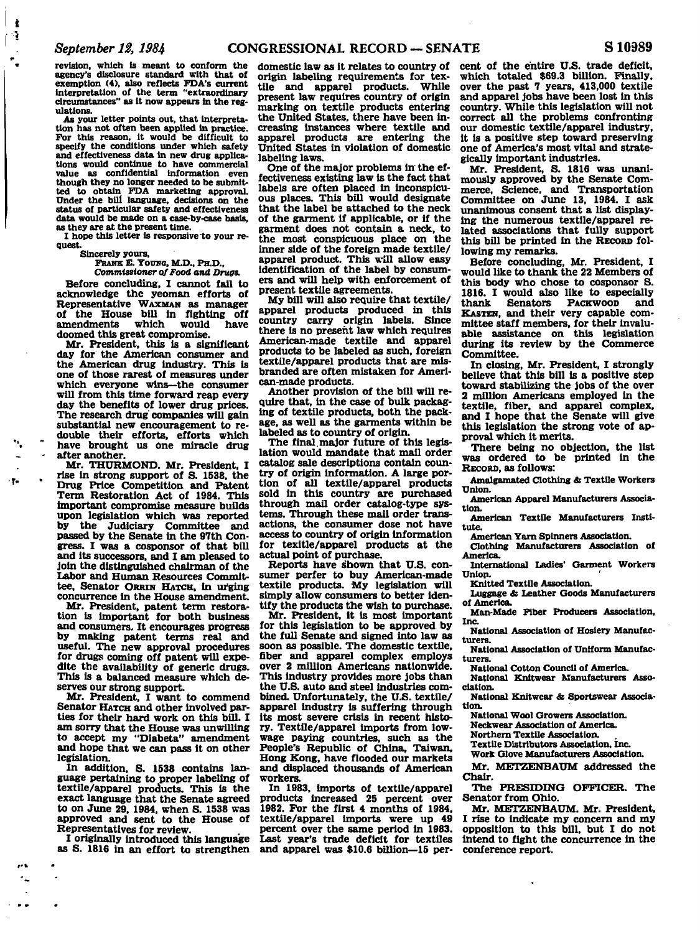Ì ्

> **revision, which is meant to conform the agency's disclosure standard with that of exemption (4), also reflects PDA's current interpretation of the term "extraordinary circumstances" as it now appears in the regulations.**

**As your letter points out, that interpretation has not often been applied in practice. For this reason, it would be difficult to specify the conditions under which safety and effectiveness data in new drug applications would continue to have commercial value as confidential information even though they no longer needed to be submitted to obtain FDA marketing approval. Under the bill language, decisions on the status of particular safety and effectiveness data would be made on a case-by-case basis, as they are at the present time.** 

**I hope this letter is responsive to your request.** 

### **Sincerely yours, FRANK E. YOUNG, M.D., PH.D.,**

*Commissioner of Food and Drugs.* 

**Before concluding, I cannot fail to acknowledge the yeoman efforts of Representative WAXMAN as manager of the House bill in fighting off amendments which would have doomed this great compromise.** 

**Mr. President, this is a significant day for the American consumer and the American drug industry. This is one of those rarest of measures under which everyone wins—the consumer will from this time forward reap every day the benefits of lower drug prices. The research drug companies will gain substantial new encouragement to redouble their efforts, efforts which have brought us one miracle drug** 

**after another. Mr. THURMOND. Mr. President, I rise in strong support of S. 1538, the** 

**Drug Price Competition and Patent Term Restoration Act of 1984. This important compromise measure builds upon legislation which was reported by the Judiciary Committee and passed by the Senate in the 97th Congress. I was a cosponsor of that bill and its successors, and I am pleased to join the distinguished chairman of the Labor and Human Resources Committee, Senator ORRIN HATCH, in urging concurrence in the House amendment.** 

**Mr. President, patent term restoration is important for both business and consumers. It encourages progress by making patent terms real and useful. The new approval procedures for drugs coming off patent will expedite the availability of generic drugs. This is a balanced measure which deserves our strong support.** 

**Mr. President, I want to commend**  Senator **HATCH** and other involved par**ties for their hard work on this bill. I am sorry that the House was unwilling to accept my "Diabeta" amendment and hope that we can pass it on other legislation.** 

**In addition, S. 1538 contains language pertaining to proper labeling of textile/apparel products. This is the exact language that the Senate agreed to on June 29. 1984, when S. 1538 was approved and sent to the House of Representatives for review.** 

**I originally introduced this language as S. 1816 in an effort to strengthen** 

 $\overline{a}$ 

**domestic law as it relates to country of origin labeling requirements for textile and apparel products. While present law requires country of origin marking on textile products entering the United States, there have been increasing instances where textile and apparel products are entering the United States in violation of domestic labeling laws.** 

**One of the major problems in the effectiveness existing law is the fact that labels are often placed in inconspicuous places. This bill would designate that the label be attached to the neck of the garment if applicable, or if the garment does not contain a neck, to the most conspicuous place on the inner side of the foreign made textile/ apparel product. This will allow easy identification of the label by consumers and will help with enforcement of present textile agreements.** 

**My bill will also require that textile/ apparel products produced in this country carry origin labels. Since there is no present law which requires American-made textile and apparel products to be labeled as such, foreign textile/apparel products that are misbranded are often mistaken for American-made products.** 

**Another provision of the bill will require that, in the case of bulk packaging of textile products, both the package, as well as the garments within be labeled as to country of origin.** 

**The final.major future of this legislation would mandate that mail order catalog sale descriptions contain country of origin information. A large portion of all textile/apparel products sold in this country are purchased through mail order catalog-type systems. Through these mail order transactions, the consumer dose not have access to country of origin information for texitle/apparel products at the actual point of purchase.** 

**Reports have shown that U.S. consumer perfer to buy American-made textile products. My legislation will simply allow consumers to better identify the products the wish to purchase.** 

**Mr. President, it is most important for this legislation to be approved by the full Senate and signed into law as soon as possible. The domestic textile, fiber and apparel complex employs over 2 million Americans nationwide. This industry provides more jobs than the U.S. auto and steel industries combined. Unfortunately, the U.S. textile/ apparel industry is suffering through its most severe crisis in recent history. Textile/apparel imports from lowwage paying countries, such as the People's Republic of China, Taiwan, Hong Kong, have flooded our markets and displaced thousands of American workers.** 

**In 1983, imports of textile/apparel products increased 25 percent over 1982. For the first 4 months of 1984, textile/apparel imports were up 49 percent over the same period in 1983. Last year's trade deficit for textiles and apparel was \$10.6 billion—15 per-**

**cent of the entire U.S. trade deficit, which totaled \$69.3 billion. Finally, over the past 7 years, 413,000 textile and apparel jobs have been lost in this country. While this legislation will not correct all the problems confronting our domestic textile/apparel industry, it is a positive step toward preserving one of America's most vital and strategically important industries.** 

**Mr. President, S. 1816 was unanimously approved by the Senate Commerce, Science, and Transportation Committee on June 13, 1984. I ask unanimous consent that a list displaying the numerous textile/apparel related associations that fully support this bill be printed in the RECORD following my remarks.** 

**Before concluding, Mr. President, I would like to thank the 22 Members of this body who chose to cosponsor S. 1816. I would also like to especially PACKWOOD HASTEN, and their very capable committee staff members, for their invaluable assistance on this legislation during its review by the Commerce Committee.** 

**In closing, Mr. President, I strongly believe that this bill is a positive step toward stabilizing the jobs of the over 2 million Americans employed in the textile, fiber, and apparel complex, and I hope that the Senate will give this legislation the strong vote of approval which it merits.** 

**There being no objection, the list was ordered to be printed in the RECORD, as follows:** 

**Amalgamated Clothing & Textile Workers Union.** 

**American Apparel Manufacturers Association.** 

**American Textile Manufacturers Institute.** 

**American Yarn Spinners Association.** 

**Clothing Manufacturers Association of America.** 

**International Ladies' Garment Workers Union.** 

**Knitted Textile Association.** 

**Luggage & Leather Goods Manufacturers of America.** 

**Man-Made Fiber Producers Association, Inc.** 

**National Association of Hosiery Manufacturers.** 

**National Association of Uniform Manufacturers.** 

**National Cotton Council of America.** 

**National Knitwear Manufacturers Asso-**

**ciation. National Knitwear** *&* **Sportswear Association.** 

**National Wool Growers Association.** 

**Neckwear Association of America.** 

**Northern Textile Association.** 

**Textile Distributors Association, Inc. Work Glove Manufacturers Association.** 

**Mr. METZENBAUM addressed the Chair.** 

**The PRESIDING OFFICER. The Senator from Ohio.** 

**Mr. METZENBAUM. Mr. President, I rise to indicate my concern and my opposition to this bill, but I do not intend to fight the concurrence in the conference report.**